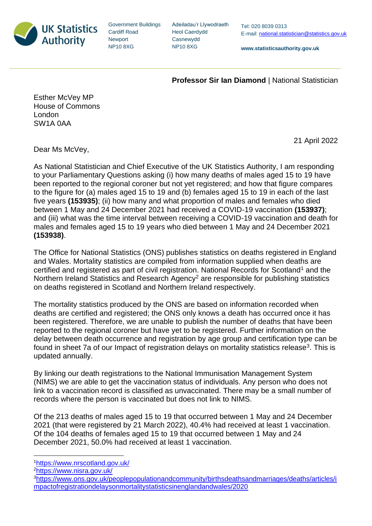

Government Buildings Cardiff Road **Newport** NP10 8XG

Adeiladau'r Llywodraeth Heol Caerdydd Casnewydd NP10 8XG

**www.statisticsauthority.gov.uk**

## **Professor Sir Ian Diamond** | National Statistician

Esther McVey MP House of Commons London SW1A 0AA

Dear Ms McVey,

As National Statistician and Chief Executive of the UK Statistics Authority, I am responding to your Parliamentary Questions asking (i) how many deaths of males aged 15 to 19 have been reported to the regional coroner but not yet registered; and how that figure compares to the figure for (a) males aged 15 to 19 and (b) females aged 15 to 19 in each of the last five years **(153935)**; (ii) how many and what proportion of males and females who died between 1 May and 24 December 2021 had received a COVID-19 vaccination **(153937)**; and (iii) what was the time interval between receiving a COVID-19 vaccination and death for males and females aged 15 to 19 years who died between 1 May and 24 December 2021 **(153938)**.

The Office for National Statistics (ONS) publishes statistics on deaths registered in England and Wales. Mortality statistics are compiled from information supplied when deaths are certified and registered as part of civil registration. National Records for Scotland<sup>1</sup> and the Northern Ireland Statistics and Research Agency<sup>2</sup> are responsible for publishing statistics on deaths registered in Scotland and Northern Ireland respectively.

The mortality statistics produced by the ONS are based on information recorded when deaths are certified and registered; the ONS only knows a death has occurred once it has been registered. Therefore, we are unable to publish the number of deaths that have been reported to the regional coroner but have yet to be registered. Further information on the delay between death occurrence and registration by age group and certification type can be found in sheet 7a of our Impact of registration delays on mortality statistics release<sup>3</sup>. This is updated annually.

By linking our death registrations to the National Immunisation Management System (NIMS) we are able to get the vaccination status of individuals. Any person who does not link to a vaccination record is classified as unvaccinated. There may be a small number of records where the person is vaccinated but does not link to NIMS.

Of the 213 deaths of males aged 15 to 19 that occurred between 1 May and 24 December 2021 (that were registered by 21 March 2022), 40.4% had received at least 1 vaccination. Of the 104 deaths of females aged 15 to 19 that occurred between 1 May and 24 December 2021, 50.0% had received at least 1 vaccination.

<sup>1</sup><https://www.nrscotland.gov.uk/>

<sup>2</sup><https://www.nisra.gov.uk/>

21 April 2022

<sup>3</sup>[https://www.ons.gov.uk/peoplepopulationandcommunity/birthsdeathsandmarriages/deaths/articles/i](https://www.ons.gov.uk/peoplepopulationandcommunity/birthsdeathsandmarriages/deaths/articles/impactofregistrationdelaysonmortalitystatisticsinenglandandwales/2020) [mpactofregistrationdelaysonmortalitystatisticsinenglandandwales/2020](https://www.ons.gov.uk/peoplepopulationandcommunity/birthsdeathsandmarriages/deaths/articles/impactofregistrationdelaysonmortalitystatisticsinenglandandwales/2020)